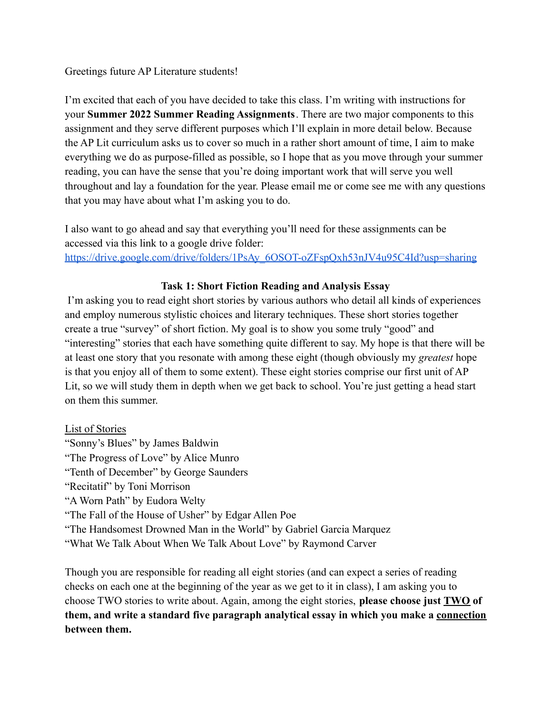#### Greetings future AP Literature students!

I'm excited that each of you have decided to take this class. I'm writing with instructions for your **Summer 2022 Summer Reading Assignments**. There are two major components to this assignment and they serve different purposes which I'll explain in more detail below. Because the AP Lit curriculum asks us to cover so much in a rather short amount of time, I aim to make everything we do as purpose-filled as possible, so I hope that as you move through your summer reading, you can have the sense that you're doing important work that will serve you well throughout and lay a foundation for the year. Please email me or come see me with any questions that you may have about what I'm asking you to do.

I also want to go ahead and say that everything you'll need for these assignments can be accessed via this link to a google drive folder: [https://drive.google.com/drive/folders/1PsAy\\_6OSOT-oZFspQxh53nJV4u95C4Id?usp=sharing](https://drive.google.com/drive/folders/1PsAy_6OSOT-oZFspQxh53nJV4u95C4Id?usp=sharing)

## **Task 1: Short Fiction Reading and Analysis Essay**

I'm asking you to read eight short stories by various authors who detail all kinds of experiences and employ numerous stylistic choices and literary techniques. These short stories together create a true "survey" of short fiction. My goal is to show you some truly "good" and "interesting" stories that each have something quite different to say. My hope is that there will be at least one story that you resonate with among these eight (though obviously my *greatest* hope is that you enjoy all of them to some extent). These eight stories comprise our first unit of AP Lit, so we will study them in depth when we get back to school. You're just getting a head start on them this summer.

### List of Stories

"Sonny's Blues" by James Baldwin "The Progress of Love" by Alice Munro "Tenth of December" by George Saunders "Recitatif" by Toni Morrison "A Worn Path" by Eudora Welty "The Fall of the House of Usher" by Edgar Allen Poe "The Handsomest Drowned Man in the World" by Gabriel Garcia Marquez "What We Talk About When We Talk About Love" by Raymond Carver

Though you are responsible for reading all eight stories (and can expect a series of reading checks on each one at the beginning of the year as we get to it in class), I am asking you to choose TWO stories to write about. Again, among the eight stories, **please choose just TWO of them, and write a standard five paragraph analytical essay in which you make a connection between them.**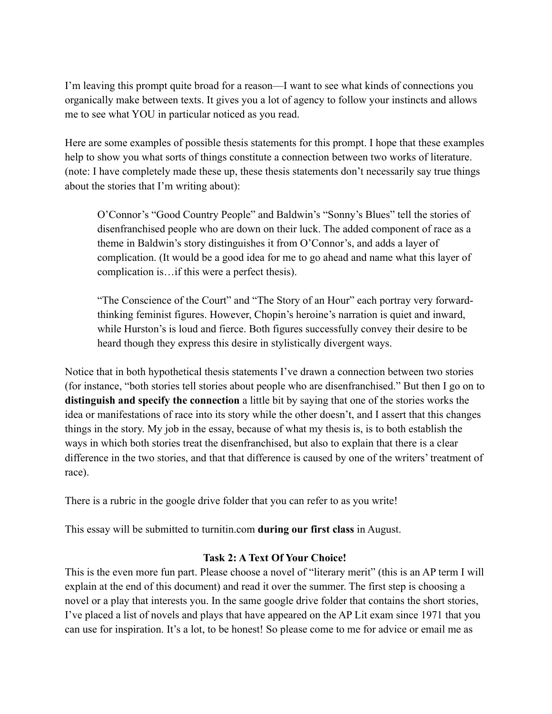I'm leaving this prompt quite broad for a reason—I want to see what kinds of connections you organically make between texts. It gives you a lot of agency to follow your instincts and allows me to see what YOU in particular noticed as you read.

Here are some examples of possible thesis statements for this prompt. I hope that these examples help to show you what sorts of things constitute a connection between two works of literature. (note: I have completely made these up, these thesis statements don't necessarily say true things about the stories that I'm writing about):

O'Connor's "Good Country People" and Baldwin's "Sonny's Blues" tell the stories of disenfranchised people who are down on their luck. The added component of race as a theme in Baldwin's story distinguishes it from O'Connor's, and adds a layer of complication. (It would be a good idea for me to go ahead and name what this layer of complication is…if this were a perfect thesis).

"The Conscience of the Court" and "The Story of an Hour" each portray very forwardthinking feminist figures. However, Chopin's heroine's narration is quiet and inward, while Hurston's is loud and fierce. Both figures successfully convey their desire to be heard though they express this desire in stylistically divergent ways.

Notice that in both hypothetical thesis statements I've drawn a connection between two stories (for instance, "both stories tell stories about people who are disenfranchised." But then I go on to **distinguish and specify the connection** a little bit by saying that one of the stories works the idea or manifestations of race into its story while the other doesn't, and I assert that this changes things in the story. My job in the essay, because of what my thesis is, is to both establish the ways in which both stories treat the disenfranchised, but also to explain that there is a clear difference in the two stories, and that that difference is caused by one of the writers' treatment of race).

There is a rubric in the google drive folder that you can refer to as you write!

This essay will be submitted to turnitin.com **during our first class** in August.

### **Task 2: A Text Of Your Choice!**

This is the even more fun part. Please choose a novel of "literary merit" (this is an AP term I will explain at the end of this document) and read it over the summer. The first step is choosing a novel or a play that interests you. In the same google drive folder that contains the short stories, I've placed a list of novels and plays that have appeared on the AP Lit exam since 1971 that you can use for inspiration. It's a lot, to be honest! So please come to me for advice or email me as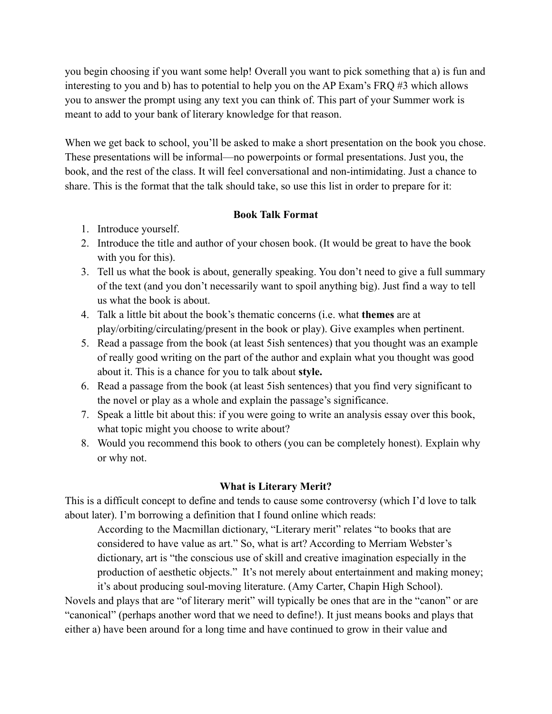you begin choosing if you want some help! Overall you want to pick something that a) is fun and interesting to you and b) has to potential to help you on the AP Exam's FRQ #3 which allows you to answer the prompt using any text you can think of. This part of your Summer work is meant to add to your bank of literary knowledge for that reason.

When we get back to school, you'll be asked to make a short presentation on the book you chose. These presentations will be informal—no powerpoints or formal presentations. Just you, the book, and the rest of the class. It will feel conversational and non-intimidating. Just a chance to share. This is the format that the talk should take, so use this list in order to prepare for it:

## **Book Talk Format**

- 1. Introduce yourself.
- 2. Introduce the title and author of your chosen book. (It would be great to have the book with you for this).
- 3. Tell us what the book is about, generally speaking. You don't need to give a full summary of the text (and you don't necessarily want to spoil anything big). Just find a way to tell us what the book is about.
- 4. Talk a little bit about the book's thematic concerns (i.e. what **themes** are at play/orbiting/circulating/present in the book or play). Give examples when pertinent.
- 5. Read a passage from the book (at least 5ish sentences) that you thought was an example of really good writing on the part of the author and explain what you thought was good about it. This is a chance for you to talk about **style.**
- 6. Read a passage from the book (at least 5ish sentences) that you find very significant to the novel or play as a whole and explain the passage's significance.
- 7. Speak a little bit about this: if you were going to write an analysis essay over this book, what topic might you choose to write about?
- 8. Would you recommend this book to others (you can be completely honest). Explain why or why not.

# **What is Literary Merit?**

This is a difficult concept to define and tends to cause some controversy (which I'd love to talk about later). I'm borrowing a definition that I found online which reads:

According to the Macmillan dictionary, "Literary merit" relates "to books that are considered to have value as art." So, what is art? According to Merriam Webster's dictionary, art is "the conscious use of skill and creative imagination especially in the production of aesthetic objects." It's not merely about entertainment and making money; it's about producing soul-moving literature. (Amy Carter, Chapin High School).

Novels and plays that are "of literary merit" will typically be ones that are in the "canon" or are "canonical" (perhaps another word that we need to define!). It just means books and plays that either a) have been around for a long time and have continued to grow in their value and